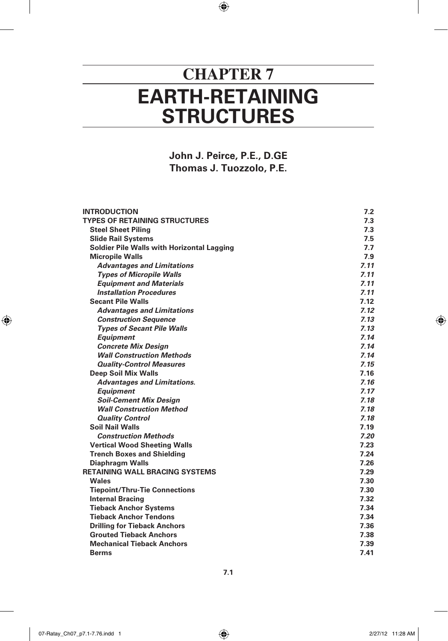## **EARTH-RETAINING STRUCTURES CHAPTER 7**

 $\bigoplus$ 

**John J. Peirce, P.E., D.GE Thomas J. Tuozzolo, P.E.**

| <b>INTRODUCTION</b>                        | 7.2  |
|--------------------------------------------|------|
| <b>TYPES OF RETAINING STRUCTURES</b>       | 7.3  |
| <b>Steel Sheet Piling</b>                  | 7.3  |
| <b>Slide Rail Systems</b>                  | 7.5  |
| Soldier Pile Walls with Horizontal Lagging | 7.7  |
| <b>Micropile Walls</b>                     | 7.9  |
| <b>Advantages and Limitations</b>          | 7.11 |
| <b>Types of Micropile Walls</b>            | 7.11 |
| <b>Equipment and Materials</b>             | 7.11 |
| <b>Installation Procedures</b>             | 7.11 |
| <b>Secant Pile Walls</b>                   | 7.12 |
| <b>Advantages and Limitations</b>          | 7.12 |
| <b>Construction Sequence</b>               | 7.13 |
| <b>Types of Secant Pile Walls</b>          | 7.13 |
| <b>Equipment</b>                           | 7.14 |
| <b>Concrete Mix Design</b>                 | 7.14 |
| <b>Wall Construction Methods</b>           | 7.14 |
| <b>Quality-Control Measures</b>            | 7.15 |
| <b>Deep Soil Mix Walls</b>                 | 7.16 |
| <b>Advantages and Limitations.</b>         | 7.16 |
| <b>Equipment</b>                           | 7.17 |
| <b>Soil-Cement Mix Design</b>              | 7.18 |
| <b>Wall Construction Method</b>            | 7.18 |
| <b>Quality Control</b>                     | 7.18 |
| <b>Soil Nail Walls</b>                     | 7.19 |
| <b>Construction Methods</b>                | 7.20 |
| <b>Vertical Wood Sheeting Walls</b>        | 7.23 |
| <b>Trench Boxes and Shielding</b>          | 7.24 |
| <b>Diaphragm Walls</b>                     | 7.26 |
| <b>RETAINING WALL BRACING SYSTEMS</b>      | 7.29 |
| Wales                                      | 7.30 |
| <b>Tiepoint/Thru-Tie Connections</b>       | 7.30 |
| <b>Internal Bracing</b>                    | 7.32 |
| <b>Tieback Anchor Systems</b>              | 7.34 |
| <b>Tieback Anchor Tendons</b>              | 7.34 |
| <b>Drilling for Tieback Anchors</b>        | 7.36 |
| <b>Grouted Tieback Anchors</b>             | 7.38 |
| <b>Mechanical Tieback Anchors</b>          | 7.39 |
| <b>Berms</b>                               | 7.41 |

**7.1**

07-Ratay\_Ch07\_p7.1-7.76.indd 1 2/27/12 11:28 AM

 $\bigoplus$ 

 $\bigoplus$